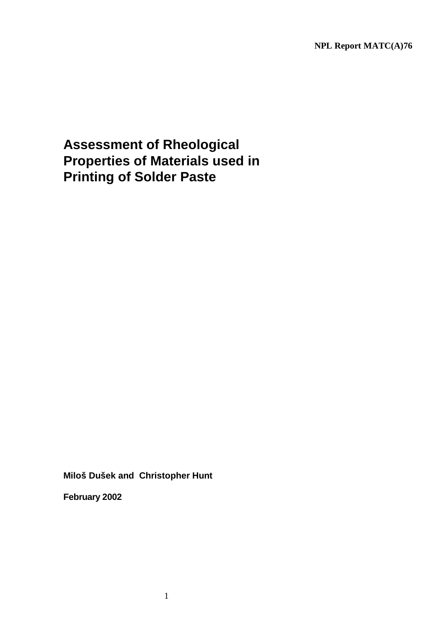**Assessment of Rheological Properties of Materials used in Printing of Solder Paste**

**Miloš Dušek and Christopher Hunt** 

**February 2002**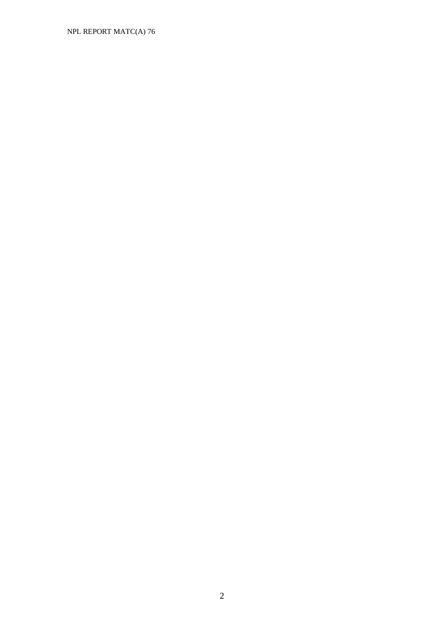NPL REPORT MATC(A) 76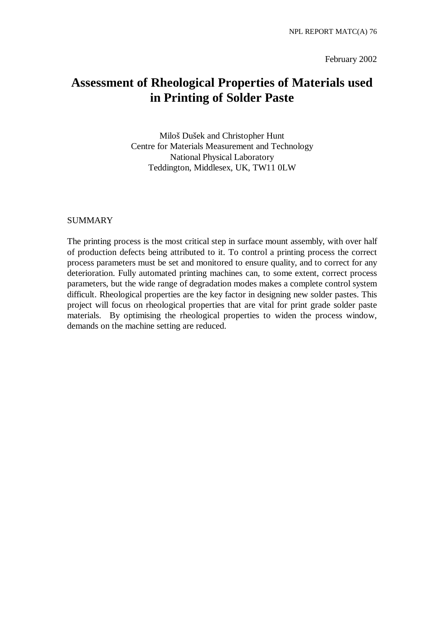# **Assessment of Rheological Properties of Materials used in Printing of Solder Paste**

Miloš Dušek and Christopher Hunt Centre for Materials Measurement and Technology National Physical Laboratory Teddington, Middlesex, UK, TW11 0LW

### **SUMMARY**

The printing process is the most critical step in surface mount assembly, with over half of production defects being attributed to it. To control a printing process the correct process parameters must be set and monitored to ensure quality, and to correct for any deterioration. Fully automated printing machines can, to some extent, correct process parameters, but the wide range of degradation modes makes a complete control system difficult. Rheological properties are the key factor in designing new solder pastes. This project will focus on rheological properties that are vital for print grade solder paste materials. By optimising the rheological properties to widen the process window, demands on the machine setting are reduced.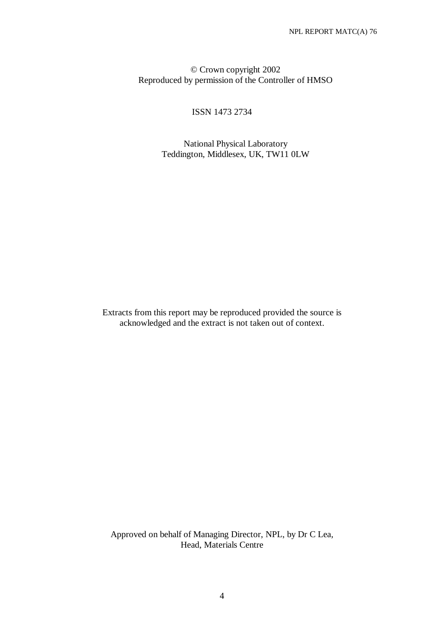© Crown copyright 2002 Reproduced by permission of the Controller of HMSO

ISSN 1473 2734

 National Physical Laboratory Teddington, Middlesex, UK, TW11 0LW

Extracts from this report may be reproduced provided the source is acknowledged and the extract is not taken out of context.

Approved on behalf of Managing Director, NPL, by Dr C Lea, Head, Materials Centre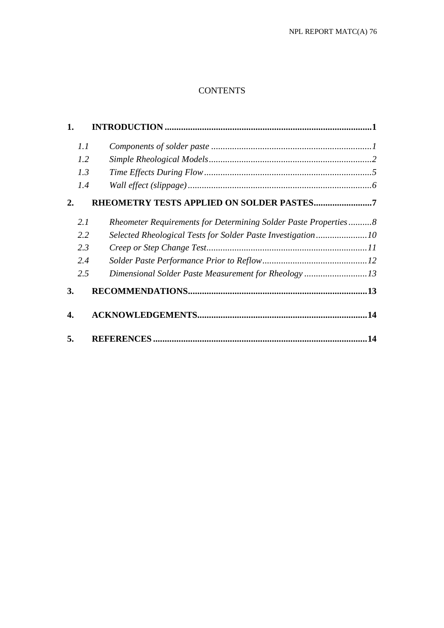# **CONTENTS**

| 1. |     |                                                                 |
|----|-----|-----------------------------------------------------------------|
|    | 1.1 |                                                                 |
|    | 1.2 |                                                                 |
|    | 1.3 |                                                                 |
|    | 1.4 |                                                                 |
| 2. |     | <b>RHEOMETRY TESTS APPLIED ON SOLDER PASTES7</b>                |
|    | 2.1 | Rheometer Requirements for Determining Solder Paste Properties8 |
|    | 2.2 | Selected Rheological Tests for Solder Paste Investigation10     |
|    | 2.3 |                                                                 |
|    | 2.4 |                                                                 |
|    | 2.5 | Dimensional Solder Paste Measurement for Rheology13             |
| 3. |     |                                                                 |
| 4. |     |                                                                 |
| 5. |     | 14                                                              |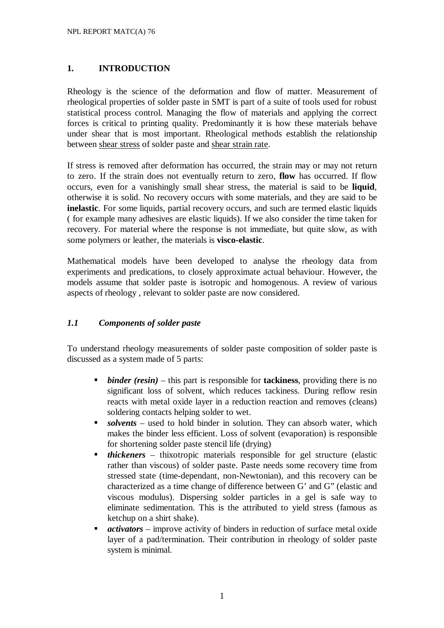# **1. INTRODUCTION**

Rheology is the science of the deformation and flow of matter. Measurement of rheological properties of solder paste in SMT is part of a suite of tools used for robust statistical process control. Managing the flow of materials and applying the correct forces is critical to printing quality. Predominantly it is how these materials behave under shear that is most important. Rheological methods establish the relationship between shear stress of solder paste and shear strain rate.

If stress is removed after deformation has occurred, the strain may or may not return to zero. If the strain does not eventually return to zero, **flow** has occurred. If flow occurs, even for a vanishingly small shear stress, the material is said to be **liquid**, otherwise it is solid. No recovery occurs with some materials, and they are said to be **inelastic**. For some liquids, partial recovery occurs, and such are termed elastic liquids ( for example many adhesives are elastic liquids). If we also consider the time taken for recovery. For material where the response is not immediate, but quite slow, as with some polymers or leather, the materials is **visco-elastic**.

Mathematical models have been developed to analyse the rheology data from experiments and predications, to closely approximate actual behaviour. However, the models assume that solder paste is isotropic and homogenous. A review of various aspects of rheology , relevant to solder paste are now considered.

# *1.1 Components of solder paste*

To understand rheology measurements of solder paste composition of solder paste is discussed as a system made of 5 parts:

- *binder (resin)* this part is responsible for **tackiness**, providing there is no significant loss of solvent, which reduces tackiness. During reflow resin reacts with metal oxide layer in a reduction reaction and removes (cleans) soldering contacts helping solder to wet.
- *solvents* used to hold binder in solution. They can absorb water, which makes the binder less efficient. Loss of solvent (evaporation) is responsible for shortening solder paste stencil life (drying)
- *thickeners* thixotropic materials responsible for gel structure (elastic rather than viscous) of solder paste. Paste needs some recovery time from stressed state (time-dependant, non-Newtonian), and this recovery can be characterized as a time change of difference between G' and G" (elastic and viscous modulus). Dispersing solder particles in a gel is safe way to eliminate sedimentation. This is the attributed to yield stress (famous as ketchup on a shirt shake).
- *activators* improve activity of binders in reduction of surface metal oxide layer of a pad/termination. Their contribution in rheology of solder paste system is minimal.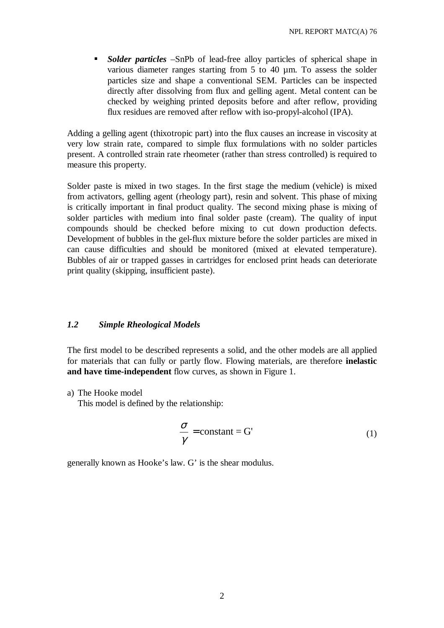*Solder particles* –SnPb of lead-free alloy particles of spherical shape in various diameter ranges starting from 5 to 40 µm. To assess the solder particles size and shape a conventional SEM. Particles can be inspected directly after dissolving from flux and gelling agent. Metal content can be checked by weighing printed deposits before and after reflow, providing flux residues are removed after reflow with iso-propyl-alcohol (IPA).

Adding a gelling agent (thixotropic part) into the flux causes an increase in viscosity at very low strain rate, compared to simple flux formulations with no solder particles present. A controlled strain rate rheometer (rather than stress controlled) is required to measure this property.

Solder paste is mixed in two stages. In the first stage the medium (vehicle) is mixed from activators, gelling agent (rheology part), resin and solvent. This phase of mixing is critically important in final product quality. The second mixing phase is mixing of solder particles with medium into final solder paste (cream). The quality of input compounds should be checked before mixing to cut down production defects. Development of bubbles in the gel-flux mixture before the solder particles are mixed in can cause difficulties and should be monitored (mixed at elevated temperature). Bubbles of air or trapped gasses in cartridges for enclosed print heads can deteriorate print quality (skipping, insufficient paste).

### *1.2 Simple Rheological Models*

The first model to be described represents a solid, and the other models are all applied for materials that can fully or partly flow. Flowing materials, are therefore **inelastic and have time-independent** flow curves, as shown in Figure 1.

a) The Hooke model

This model is defined by the relationship:

$$
\frac{\sigma}{\gamma} = \text{constant} = \text{G}' \tag{1}
$$

generally known as Hooke's law. G' is the shear modulus.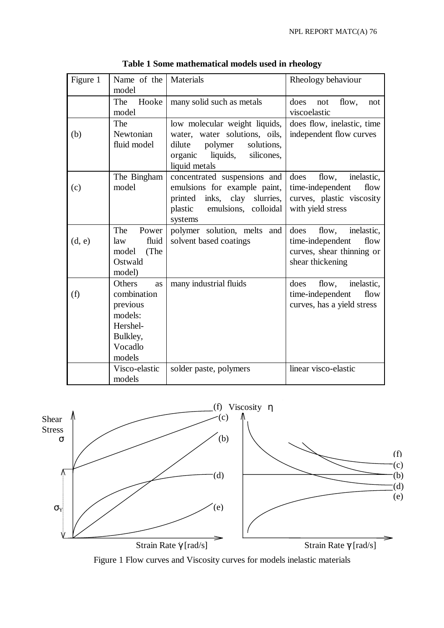| Figure 1 | Name of the<br>model                                                                            | Materials                                                                                                                                            | Rheology behaviour                                                                                        |
|----------|-------------------------------------------------------------------------------------------------|------------------------------------------------------------------------------------------------------------------------------------------------------|-----------------------------------------------------------------------------------------------------------|
|          | The<br>Hooke<br>model                                                                           | many solid such as metals                                                                                                                            | does<br>flow,<br>not<br>not<br>viscoelastic                                                               |
| (b)      | The<br>Newtonian<br>fluid model                                                                 | low molecular weight liquids,<br>water, water solutions, oils,<br>polymer<br>dilute<br>solutions,<br>organic liquids,<br>silicones,<br>liquid metals | does flow, inelastic, time<br>independent flow curves                                                     |
| (c)      | The Bingham<br>model                                                                            | concentrated suspensions and<br>emulsions for example paint,<br>inks, clay<br>slurries,<br>printed<br>emulsions, colloidal<br>plastic<br>systems     | flow,<br>inelastic,<br>does<br>time-independent<br>flow<br>curves, plastic viscosity<br>with yield stress |
| (d, e)   | The<br>Power<br>fluid<br>law<br>(The<br>model<br>Ostwald<br>model)                              | polymer solution, melts and<br>solvent based coatings                                                                                                | inelastic,<br>flow,<br>does<br>time-independent<br>flow<br>curves, shear thinning or<br>shear thickening  |
| (f)      | Others<br>as<br>combination<br>previous<br>models:<br>Hershel-<br>Bulkley,<br>Vocadlo<br>models | many industrial fluids                                                                                                                               | does<br>flow,<br>inelastic,<br>time-independent<br>flow<br>curves, has a yield stress                     |
|          | Visco-elastic<br>models                                                                         | solder paste, polymers                                                                                                                               | linear visco-elastic                                                                                      |

**Table 1 Some mathematical models used in rheology** 



Figure 1 Flow curves and Viscosity curves for models inelastic materials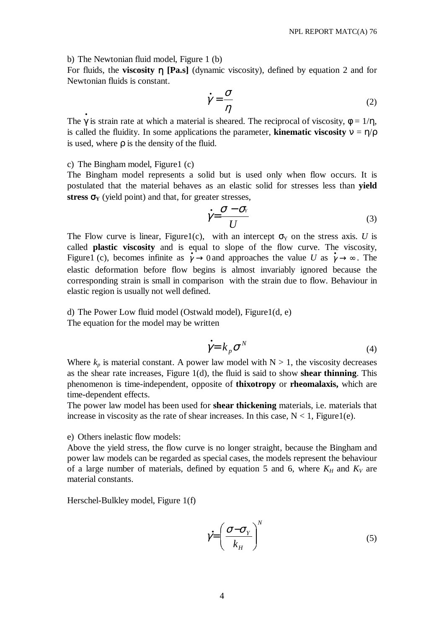b) The Newtonian fluid model, Figure 1 (b)

For fluids, the **viscosity** η **[Pa.s]** (dynamic viscosity), defined by equation 2 and for Newtonian fluids is constant.

$$
\dot{\gamma} = \frac{\sigma}{\eta} \tag{2}
$$

The  $\gamma$  is strain rate at which a material is sheared. The reciprocal of viscosity,  $\phi = 1/\eta$ , is called the fluidity. In some applications the parameter, **kinematic viscosity**  $v = \eta/\rho$ is used, where ρ is the density of the fluid.

c) The Bingham model, Figure1 (c)

The Bingham model represents a solid but is used only when flow occurs. It is postulated that the material behaves as an elastic solid for stresses less than **yield**  stress  $\sigma_Y$  (yield point) and that, for greater stresses,

$$
\dot{\gamma} = \frac{\sigma - \sigma_{\gamma}}{U} \tag{3}
$$

The Flow curve is linear, Figure1(c), with an intercept  $\sigma_Y$  on the stress axis. *U* is called **plastic viscosity** and is equal to slope of the flow curve. The viscosity, Figure1 (c), becomes infinite as  $\gamma \to 0$  and approaches the value *U* as  $\gamma \to \infty$ . The elastic deformation before flow begins is almost invariably ignored because the corresponding strain is small in comparison with the strain due to flow. Behaviour in elastic region is usually not well defined.

d) The Power Low fluid model (Ostwald model), Figure1(d, e) The equation for the model may be written

$$
\dot{\gamma} = k_p \sigma^N \tag{4}
$$

Where  $k_p$  is material constant. A power law model with  $N > 1$ , the viscosity decreases as the shear rate increases, Figure 1(d), the fluid is said to show **shear thinning**. This phenomenon is time-independent, opposite of **thixotropy** or **rheomalaxis,** which are time-dependent effects.

The power law model has been used for **shear thickening** materials, i.e. materials that increase in viscosity as the rate of shear increases. In this case,  $N < 1$ , Figure1(e).

#### e) Others inelastic flow models:

Above the yield stress, the flow curve is no longer straight, because the Bingham and power law models can be regarded as special cases, the models represent the behaviour of a large number of materials, defined by equation 5 and 6, where  $K_H$  and  $K_V$  are material constants.

Herschel-Bulkley model, Figure 1(f)

$$
\gamma = \left(\frac{\sigma - \sigma_{Y}}{k_{H}}\right)^{N} \tag{5}
$$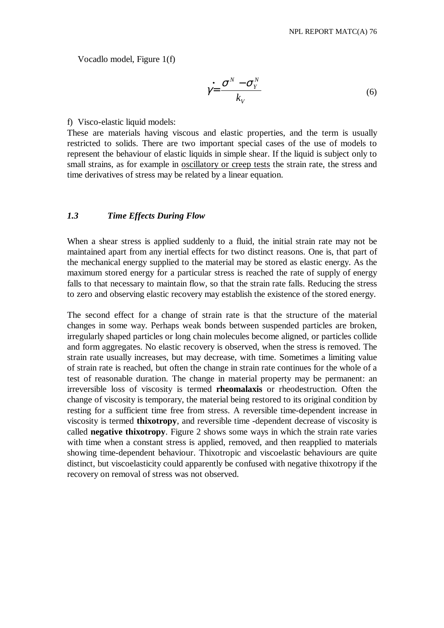Vocadlo model, Figure 1(f)

$$
\gamma = \frac{\sigma^N - \sigma_Y^N}{k_V} \tag{6}
$$

f) Visco-elastic liquid models:

These are materials having viscous and elastic properties, and the term is usually restricted to solids. There are two important special cases of the use of models to represent the behaviour of elastic liquids in simple shear. If the liquid is subject only to small strains, as for example in oscillatory or creep tests the strain rate, the stress and time derivatives of stress may be related by a linear equation.

#### *1.3 Time Effects During Flow*

When a shear stress is applied suddenly to a fluid, the initial strain rate may not be maintained apart from any inertial effects for two distinct reasons. One is, that part of the mechanical energy supplied to the material may be stored as elastic energy. As the maximum stored energy for a particular stress is reached the rate of supply of energy falls to that necessary to maintain flow, so that the strain rate falls. Reducing the stress to zero and observing elastic recovery may establish the existence of the stored energy.

The second effect for a change of strain rate is that the structure of the material changes in some way. Perhaps weak bonds between suspended particles are broken, irregularly shaped particles or long chain molecules become aligned, or particles collide and form aggregates. No elastic recovery is observed, when the stress is removed. The strain rate usually increases, but may decrease, with time. Sometimes a limiting value of strain rate is reached, but often the change in strain rate continues for the whole of a test of reasonable duration. The change in material property may be permanent: an irreversible loss of viscosity is termed **rheomalaxis** or rheodestruction. Often the change of viscosity is temporary, the material being restored to its original condition by resting for a sufficient time free from stress. A reversible time-dependent increase in viscosity is termed **thixotropy**, and reversible time -dependent decrease of viscosity is called **negative thixotropy**. Figure 2 shows some ways in which the strain rate varies with time when a constant stress is applied, removed, and then reapplied to materials showing time-dependent behaviour. Thixotropic and viscoelastic behaviours are quite distinct, but viscoelasticity could apparently be confused with negative thixotropy if the recovery on removal of stress was not observed.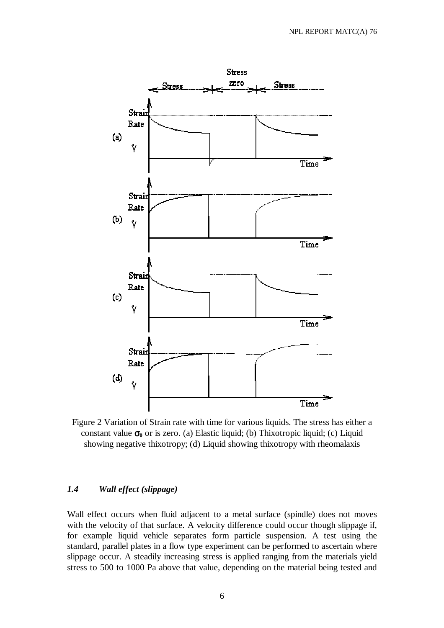

Figure 2 Variation of Strain rate with time for various liquids. The stress has either a constant value  $\sigma_0$  or is zero. (a) Elastic liquid; (b) Thixotropic liquid; (c) Liquid showing negative thixotropy; (d) Liquid showing thixotropy with rheomalaxis

# *1.4 Wall effect (slippage)*

Wall effect occurs when fluid adjacent to a metal surface (spindle) does not moves with the velocity of that surface. A velocity difference could occur though slippage if, for example liquid vehicle separates form particle suspension. A test using the standard, parallel plates in a flow type experiment can be performed to ascertain where slippage occur. A steadily increasing stress is applied ranging from the materials yield stress to 500 to 1000 Pa above that value, depending on the material being tested and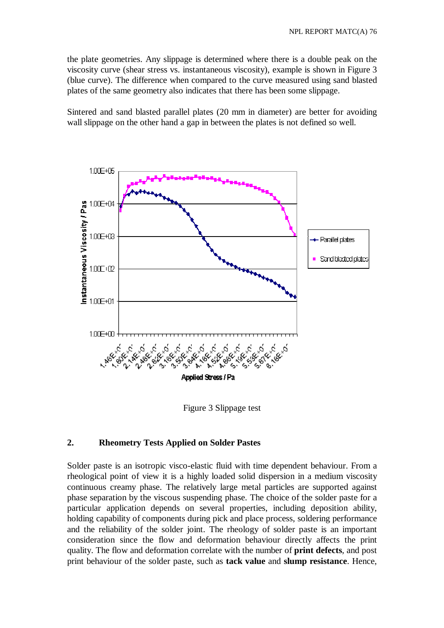the plate geometries. Any slippage is determined where there is a double peak on the viscosity curve (shear stress vs. instantaneous viscosity), example is shown in Figure 3 (blue curve). The difference when compared to the curve measured using sand blasted plates of the same geometry also indicates that there has been some slippage.

Sintered and sand blasted parallel plates (20 mm in diameter) are better for avoiding wall slippage on the other hand a gap in between the plates is not defined so well.



Figure 3 Slippage test

### **2. Rheometry Tests Applied on Solder Pastes**

Solder paste is an isotropic visco-elastic fluid with time dependent behaviour. From a rheological point of view it is a highly loaded solid dispersion in a medium viscosity continuous creamy phase. The relatively large metal particles are supported against phase separation by the viscous suspending phase. The choice of the solder paste for a particular application depends on several properties, including deposition ability, holding capability of components during pick and place process, soldering performance and the reliability of the solder joint. The rheology of solder paste is an important consideration since the flow and deformation behaviour directly affects the print quality. The flow and deformation correlate with the number of **print defects**, and post print behaviour of the solder paste, such as **tack value** and **slump resistance**. Hence,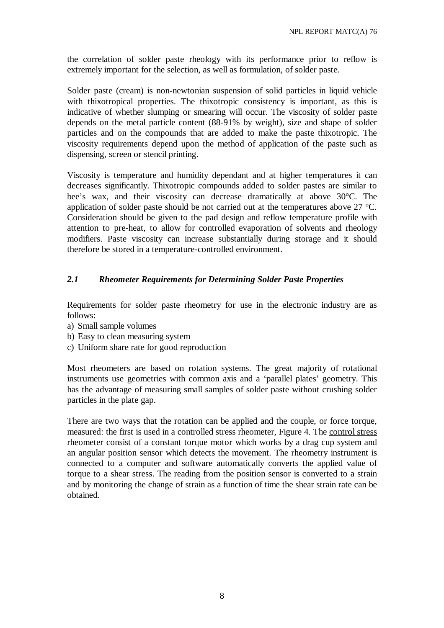the correlation of solder paste rheology with its performance prior to reflow is extremely important for the selection, as well as formulation, of solder paste.

Solder paste (cream) is non-newtonian suspension of solid particles in liquid vehicle with thixotropical properties. The thixotropic consistency is important, as this is indicative of whether slumping or smearing will occur. The viscosity of solder paste depends on the metal particle content (88-91% by weight), size and shape of solder particles and on the compounds that are added to make the paste thixotropic. The viscosity requirements depend upon the method of application of the paste such as dispensing, screen or stencil printing.

Viscosity is temperature and humidity dependant and at higher temperatures it can decreases significantly. Thixotropic compounds added to solder pastes are similar to bee's wax, and their viscosity can decrease dramatically at above 30°C. The application of solder paste should be not carried out at the temperatures above 27 °C. Consideration should be given to the pad design and reflow temperature profile with attention to pre-heat, to allow for controlled evaporation of solvents and rheology modifiers. Paste viscosity can increase substantially during storage and it should therefore be stored in a temperature-controlled environment.

# *2.1 Rheometer Requirements for Determining Solder Paste Properties*

Requirements for solder paste rheometry for use in the electronic industry are as follows:

- a) Small sample volumes
- b) Easy to clean measuring system
- c) Uniform share rate for good reproduction

Most rheometers are based on rotation systems. The great majority of rotational instruments use geometries with common axis and a 'parallel plates' geometry. This has the advantage of measuring small samples of solder paste without crushing solder particles in the plate gap.

There are two ways that the rotation can be applied and the couple, or force torque, measured: the first is used in a controlled stress rheometer, Figure 4. The control stress rheometer consist of a constant torque motor which works by a drag cup system and an angular position sensor which detects the movement. The rheometry instrument is connected to a computer and software automatically converts the applied value of torque to a shear stress. The reading from the position sensor is converted to a strain and by monitoring the change of strain as a function of time the shear strain rate can be obtained.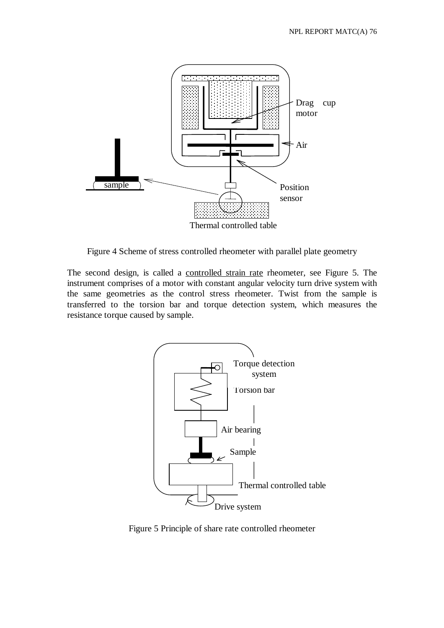

Figure 4 Scheme of stress controlled rheometer with parallel plate geometry

The second design, is called a controlled strain rate rheometer, see Figure 5. The instrument comprises of a motor with constant angular velocity turn drive system with the same geometries as the control stress rheometer. Twist from the sample is transferred to the torsion bar and torque detection system, which measures the resistance torque caused by sample.



Figure 5 Principle of share rate controlled rheometer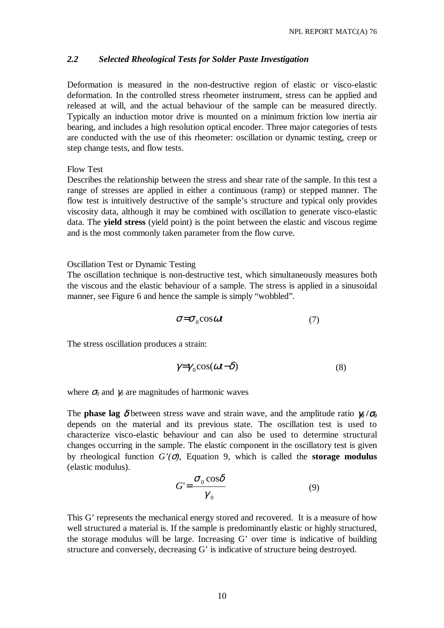#### *2.2 Selected Rheological Tests for Solder Paste Investigation*

Deformation is measured in the non-destructive region of elastic or visco-elastic deformation. In the controlled stress rheometer instrument, stress can be applied and released at will, and the actual behaviour of the sample can be measured directly. Typically an induction motor drive is mounted on a minimum friction low inertia air bearing, and includes a high resolution optical encoder. Three major categories of tests are conducted with the use of this rheometer: oscillation or dynamic testing, creep or step change tests, and flow tests.

Flow Test

Describes the relationship between the stress and shear rate of the sample. In this test a range of stresses are applied in either a continuous (ramp) or stepped manner. The flow test is intuitively destructive of the sample's structure and typical only provides viscosity data, although it may be combined with oscillation to generate visco-elastic data. The **yield stress** (yield point) is the point between the elastic and viscous regime and is the most commonly taken parameter from the flow curve.

Oscillation Test or Dynamic Testing

The oscillation technique is non-destructive test, which simultaneously measures both the viscous and the elastic behaviour of a sample. The stress is applied in a sinusoidal manner, see Figure 6 and hence the sample is simply "wobbled".

$$
\sigma = \sigma_0 \cos \omega t \tag{7}
$$

The stress oscillation produces a strain:

$$
\gamma = \gamma_0 \cos(\omega t - \delta) \tag{8}
$$

where  $\sigma_0$  and  $\gamma_0$  are magnitudes of harmonic waves

The **phase lag**  $\delta$  between stress wave and strain wave, and the amplitude ratio  $\gamma_0/\sigma_0$ depends on the material and its previous state. The oscillation test is used to characterize visco-elastic behaviour and can also be used to determine structural changes occurring in the sample. The elastic component in the oscillatory test is given by rheological function *G'(*σ*)*, Equation 9, which is called the **storage modulus** (elastic modulus).

$$
G' = \frac{\sigma_0 \cos \delta}{\gamma_0} \tag{9}
$$

This G' represents the mechanical energy stored and recovered. It is a measure of how well structured a material is. If the sample is predominantly elastic or highly structured, the storage modulus will be large. Increasing G' over time is indicative of building structure and conversely, decreasing G' is indicative of structure being destroyed.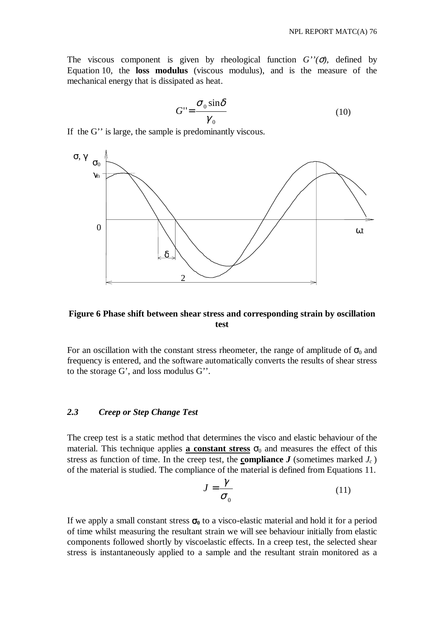The viscous component is given by rheological function  $G''(\sigma)$ , defined by Equation 10, the **loss modulus** (viscous modulus), and is the measure of the mechanical energy that is dissipated as heat.

$$
G'' = \frac{\sigma_0 \sin \delta}{\gamma_0} \tag{10}
$$

If the G'' is large, the sample is predominantly viscous.



### **Figure 6 Phase shift between shear stress and corresponding strain by oscillation test**

For an oscillation with the constant stress rheometer, the range of amplitude of  $\sigma_0$  and frequency is entered, and the software automatically converts the results of shear stress to the storage G', and loss modulus G''.

#### *2.3 Creep or Step Change Test*

The creep test is a static method that determines the visco and elastic behaviour of the material. This technique applies **a constant stress**  $\sigma_0$  and measures the effect of this stress as function of time. In the creep test, the **compliance** *J* (sometimes marked  $J_c$ ) of the material is studied. The compliance of the material is defined from Equations 11.

$$
J = \frac{\gamma}{\sigma_0} \tag{11}
$$

If we apply a small constant stress  $\sigma_0$  to a visco-elastic material and hold it for a period of time whilst measuring the resultant strain we will see behaviour initially from elastic components followed shortly by viscoelastic effects. In a creep test, the selected shear stress is instantaneously applied to a sample and the resultant strain monitored as a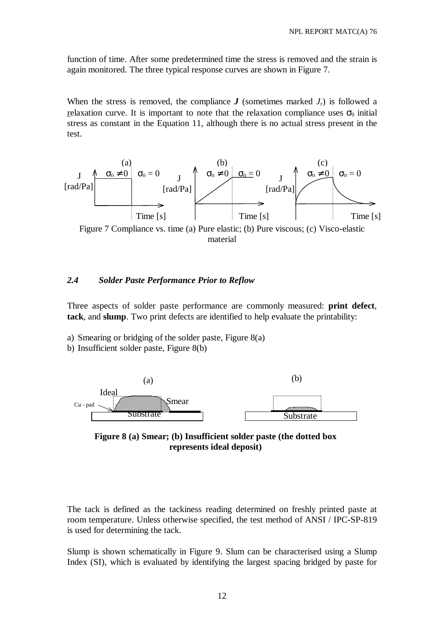function of time. After some predetermined time the stress is removed and the strain is again monitored. The three typical response curves are shown in Figure 7.

When the stress is removed, the compliance  $J$  (sometimes marked  $J_r$ ) is followed a relaxation curve. It is important to note that the relaxation compliance uses  $\sigma_0$  initial stress as constant in the Equation 11, although there is no actual stress present in the test.



Figure 7 Compliance vs. time (a) Pure elastic; (b) Pure viscous; (c) Visco-elastic material

#### *2.4 Solder Paste Performance Prior to Reflow*

Three aspects of solder paste performance are commonly measured: **print defect**, **tack**, and **slump**. Two print defects are identified to help evaluate the printability:

- a) Smearing or bridging of the solder paste, Figure 8(a)
- b) Insufficient solder paste, Figure 8(b)





The tack is defined as the tackiness reading determined on freshly printed paste at room temperature. Unless otherwise specified, the test method of ANSI / IPC-SP-819 is used for determining the tack.

Slump is shown schematically in Figure 9. Slum can be characterised using a Slump Index (SI), which is evaluated by identifying the largest spacing bridged by paste for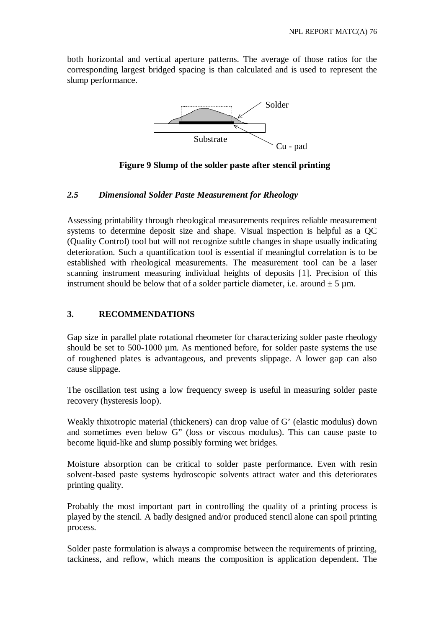both horizontal and vertical aperture patterns. The average of those ratios for the corresponding largest bridged spacing is than calculated and is used to represent the slump performance.



**Figure 9 Slump of the solder paste after stencil printing** 

### *2.5 Dimensional Solder Paste Measurement for Rheology*

Assessing printability through rheological measurements requires reliable measurement systems to determine deposit size and shape. Visual inspection is helpful as a QC (Quality Control) tool but will not recognize subtle changes in shape usually indicating deterioration. Such a quantification tool is essential if meaningful correlation is to be established with rheological measurements. The measurement tool can be a laser scanning instrument measuring individual heights of deposits [1]. Precision of this instrument should be below that of a solder particle diameter, i.e. around  $\pm 5 \mu m$ .

## **3. RECOMMENDATIONS**

Gap size in parallel plate rotational rheometer for characterizing solder paste rheology should be set to 500-1000 µm. As mentioned before, for solder paste systems the use of roughened plates is advantageous, and prevents slippage. A lower gap can also cause slippage.

The oscillation test using a low frequency sweep is useful in measuring solder paste recovery (hysteresis loop).

Weakly thixotropic material (thickeners) can drop value of G' (elastic modulus) down and sometimes even below G" (loss or viscous modulus). This can cause paste to become liquid-like and slump possibly forming wet bridges.

Moisture absorption can be critical to solder paste performance. Even with resin solvent-based paste systems hydroscopic solvents attract water and this deteriorates printing quality.

Probably the most important part in controlling the quality of a printing process is played by the stencil. A badly designed and/or produced stencil alone can spoil printing process.

Solder paste formulation is always a compromise between the requirements of printing, tackiness, and reflow, which means the composition is application dependent. The